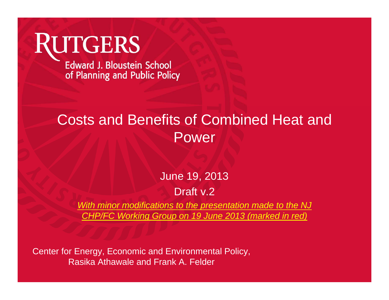# **RUTGERS**

**Edward J. Bloustein School** of Planning and Public Policy

# Costs and Benefits of Combined Heat and Power

#### June 19, 2013

#### Draft v.2

*With minor modifications to the presentation made to the NJ CHP/FC Working Group on 19 June 2013 (marked in red)*

Center for Energy, Economic and Environmental Policy, Rasika Athawale and Frank A. Felder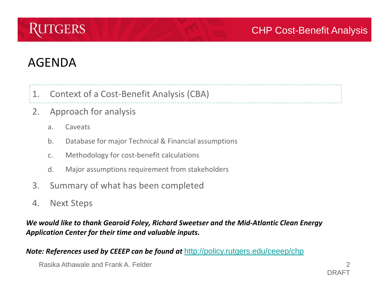

1.Context of <sup>a</sup> Cost‐Benefit Analysis (CBA)

- 2. Approach for analysis
	- a.**Caveats**
	- b.Database for major Technical & Financial assumptions
	- c.Methodology for cost‐benefit calculations
	- d.Major assumptions requirement from stakeholders
- 3.Summary of what has been completed
- 4.Next Steps

*We would like to thank Gearoid Foley, Richard Sweetser and the Mid‐Atlantic Clean Energy Application Center for their time and valuable inputs.*

*Note: References used by CEEEP can be found at* <http://policy.rutgers.edu/ceeep/chp>

Rasika Athawale and Frank A. Felder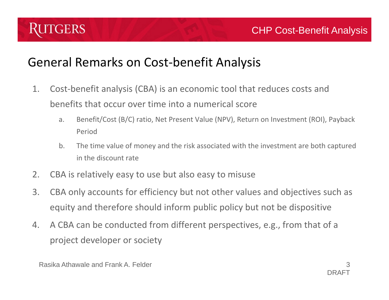

#### General Remarks on Cost‐benefit Analysis

- 1. Cost‐benefit analysis (CBA) is an economic tool that reduces costs and benefits that occur over time into <sup>a</sup> numerical score
	- a. Benefit/Cost (B/C) ratio, Net Present Value (NPV), Return on Investment (ROI), Payback Period
	- b. The time value of money and the risk associated with the investment are both captured in the discount rate
- 2.CBA is relatively easy to use but also easy to misuse
- 3. CBA only accounts for efficiency but not other values and objectives such as equity and therefore should inform public policy but not be dispositive
- 4. A CBA can be conducted from different perspectives, e.g., from that of <sup>a</sup> project developer or society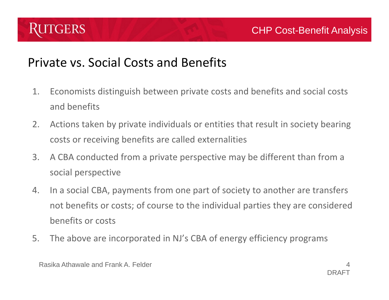

#### Private vs. Social Costs and Benefits

- 1. Economists distinguish between private costs and benefits and social costs and benefits
- 2. Actions taken by private individuals or entities that result in society bearing costs or receiving benefits are called externalities
- 3. A CBA conducted from <sup>a</sup> private perspective may be different than from <sup>a</sup> social perspective
- 4.. In a social CBA, payments from one part of society to another are transfers not benefits or costs; of course to the individual parties they are considered benefits or costs
- 5.The above are incorporated in NJ's CBA of energy efficiency programs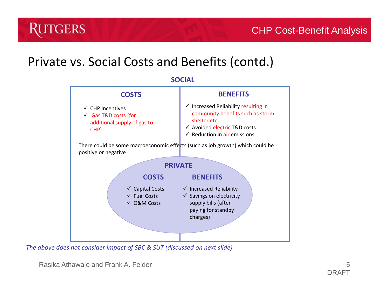#### Private vs. Social Costs and Benefits (contd.)



*The above does not consider impact of SBC & SUT (discussed on next slide)*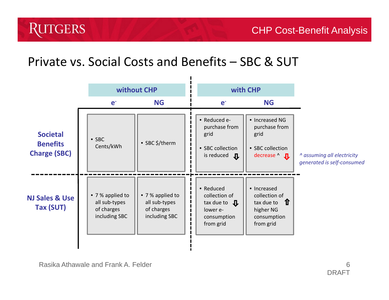#### Private vs. Social Costs and Benefits – SBC & SUT

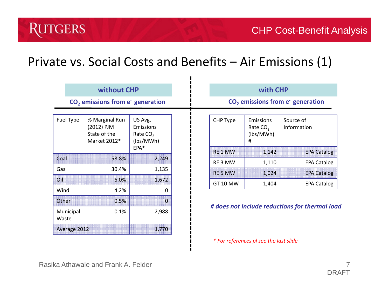#### Private vs. Social Costs and Benefits – Air Emissions (1)

|                                                          | without CHP |                                                              |                                                         |  |  |  |  |  |  |  |  |  |
|----------------------------------------------------------|-------------|--------------------------------------------------------------|---------------------------------------------------------|--|--|--|--|--|--|--|--|--|
| CO <sub>2</sub> emissions from e <sup>2</sup> generation |             |                                                              |                                                         |  |  |  |  |  |  |  |  |  |
| Fuel Type                                                |             | % Marginal Run<br>(2012) PJM<br>State of the<br>Market 2012* | US Avg.<br>Emissions<br>Rate $CO2$<br>(lbs/MWh)<br>EPA* |  |  |  |  |  |  |  |  |  |
| Coal                                                     |             | 58.8%                                                        | 2,249                                                   |  |  |  |  |  |  |  |  |  |
| Gas                                                      |             | 30.4%                                                        | 1,135                                                   |  |  |  |  |  |  |  |  |  |
| Oîl                                                      |             | 6.0%                                                         | 1,672                                                   |  |  |  |  |  |  |  |  |  |
| Wind                                                     |             | 4.2%                                                         | ი                                                       |  |  |  |  |  |  |  |  |  |
| Other                                                    |             | 0.5%                                                         | O                                                       |  |  |  |  |  |  |  |  |  |
| Municipal<br>Waste                                       |             | 0.1%                                                         | 2,988                                                   |  |  |  |  |  |  |  |  |  |
| Average 2012                                             |             |                                                              | 1,770                                                   |  |  |  |  |  |  |  |  |  |

| without CHP                                                                                                               |       | with CHP                                                 |                                                     |                          |  |  |  |
|---------------------------------------------------------------------------------------------------------------------------|-------|----------------------------------------------------------|-----------------------------------------------------|--------------------------|--|--|--|
| $_2$ emissions from e generation                                                                                          |       | CO <sub>2</sub> emissions from e <sup>-</sup> generation |                                                     |                          |  |  |  |
| % Marginal Run<br>US Avg.<br>(2012) PJM<br>Emissions<br>State of the<br>Rate CO <sub>2</sub><br>(lbs/MWh)<br>Market 2012* |       | CHP Type                                                 | Emissions<br>Rate CO <sub>2</sub><br>(lbs/MWh)<br># | Source of<br>Information |  |  |  |
|                                                                                                                           | EPA*  | <b>RE1MW</b>                                             | 1,142                                               | <b>EPA Catalog</b>       |  |  |  |
| 58.8%                                                                                                                     | 2,249 | RE3 MW                                                   | 1,110                                               | <b>EPA Catalog</b>       |  |  |  |
| 30.4%                                                                                                                     | 1,135 | <b>RE5 MW</b>                                            | 1,024                                               | <b>EPA Catalog</b>       |  |  |  |
| 6.0%                                                                                                                      | 1,672 | <b>GT 10 MW</b>                                          | 1,404                                               | <b>EPA Catalog</b>       |  |  |  |
|                                                                                                                           |       |                                                          |                                                     |                          |  |  |  |

#### *# does not include reductions for thermal load*

*\* For references pl see the last slide*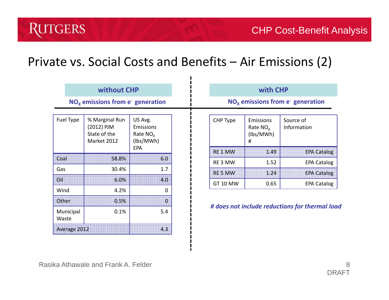#### Private vs. Social Costs and Benefits – Air Emissions (2)

|                                   | without CHP                               |                |                                                               |          |  |  |  |  |  |  |  |
|-----------------------------------|-------------------------------------------|----------------|---------------------------------------------------------------|----------|--|--|--|--|--|--|--|
| $NOx$ emissions from e generation |                                           |                |                                                               |          |  |  |  |  |  |  |  |
| Fuel Type                         | (2012) PJM<br>State of the<br>Market 2012 | % Marginal Run | US Avg.<br>Emissions<br>Rate $NOx$<br>(lbs/MWh)<br><b>EPA</b> |          |  |  |  |  |  |  |  |
| Coal                              |                                           | 58.8%          |                                                               | 6.0      |  |  |  |  |  |  |  |
| Gas                               |                                           | 30.4%          |                                                               | 1.7      |  |  |  |  |  |  |  |
| Oil                               |                                           | 6.0%           |                                                               | 4.0      |  |  |  |  |  |  |  |
| Wind                              |                                           | 4.2%           |                                                               | O        |  |  |  |  |  |  |  |
| Other                             |                                           | 0.5%           |                                                               | $\Omega$ |  |  |  |  |  |  |  |
| Municipal<br>Waste                |                                           | 0.1%           |                                                               | 5.4      |  |  |  |  |  |  |  |
| <b>Average 2012</b>               |                                           |                |                                                               | 4.3      |  |  |  |  |  |  |  |

| without CHP |                                                             |               |          | with CHP                                     |                          |                                   |  |  |  |
|-------------|-------------------------------------------------------------|---------------|----------|----------------------------------------------|--------------------------|-----------------------------------|--|--|--|
|             | <sub>x</sub> emissions from e <sup>-</sup> generation       |               |          |                                              |                          | $NOx$ emissions from e generation |  |  |  |
|             | % Marginal Run<br>(2012) PJM<br>State of the<br>Market 2012 |               | CHP Type | Emissions<br>Rate $NO_{x}$<br>(lbs/MWh)<br># | Source of<br>Information |                                   |  |  |  |
|             |                                                             | <b>EPA</b>    |          | <b>RE1MW</b>                                 | 1.49                     | <b>EPA Catalog</b>                |  |  |  |
|             | 58.8%                                                       | 6.0           |          | RE3 MW                                       | 1.52                     | <b>EPA Catalog</b>                |  |  |  |
|             | 30.4%                                                       | 1.7           |          | <b>RE5MW</b>                                 | 1.24                     | <b>EPA Catalog</b>                |  |  |  |
|             | 6.0%<br>1.20/                                               | 4.0<br>$\sim$ |          | <b>GT 10 MW</b>                              | 0.65                     | <b>EPA Catalog</b>                |  |  |  |

*# does not include reductions for thermal load*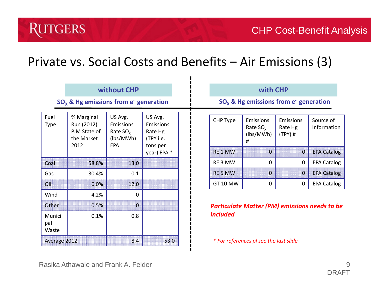#### Private vs. Social Costs and Benefits – Air Emissions (3)

П

|                        |                                                                | without CHP                                                      |                                                          |  |                               | with                                         |
|------------------------|----------------------------------------------------------------|------------------------------------------------------------------|----------------------------------------------------------|--|-------------------------------|----------------------------------------------|
|                        | $SO_{x}$ & Hg emissions from e generation                      |                                                                  |                                                          |  |                               | $SO_{x}$ & Hg emissions                      |
| Fuel<br><b>Type</b>    | % Marginal<br>Run (2012)<br>PJM State of<br>the Market<br>2012 | US Avg.<br>Emissions<br>Rate $SO_{x}$<br>(lbs/MWh)<br><b>EPA</b> | US Avg.<br>Emissions<br>Rate Hg<br>(TPY i.e.<br>tons per |  | CHP Type                      | Emissions<br>Rate $SO_{x}$<br>(lbs/MWh)<br># |
| Coal                   | 58.8%                                                          | 13.0                                                             | year) EPA *                                              |  | RE 1 MW<br>RE3 MW             | $\bf{0}$<br>0                                |
| Gas                    | 30.4%                                                          | 0.1                                                              |                                                          |  | <b>RE5MW</b>                  | $\overline{0}$                               |
| O(1)                   | 6.0%                                                           | 12.0                                                             |                                                          |  | <b>GT 10 MW</b>               | $\mathbf 0$                                  |
| Wind                   | 4.2%                                                           | $\Omega$                                                         |                                                          |  |                               |                                              |
| Other                  | 0.5%                                                           | $\bf{0}$                                                         |                                                          |  | <b>Particulate Matter (PI</b> |                                              |
| Munici<br>pal<br>Waste | 0.1%                                                           | 0.8                                                              |                                                          |  | <i>included</i>               |                                              |
| Average 2012           |                                                                | 8.4                                                              | 53.0                                                     |  |                               | * For references pl see th                   |

| <b>WILLIVAL CIII</b>                                 | <b>VYILII CIII</b>                        |
|------------------------------------------------------|-------------------------------------------|
|                                                      |                                           |
| $_{x}$ & Hg emissions from e <sup>-</sup> generation | $SO_{x}$ & Hg emissions from e generation |

**With CHD** 

| CHP Type        | Emissions<br>Rate $SO_{x}$<br>(lbs/MWh)<br># | Emissions<br>Rate Hg<br>$(TPY)$ # | Source of<br>Information |  |  |
|-----------------|----------------------------------------------|-----------------------------------|--------------------------|--|--|
| <b>RE1 MW</b>   | O                                            | 0                                 | <b>EPA Catalog</b>       |  |  |
| <b>RE3 MW</b>   |                                              | O                                 | <b>EPA Catalog</b>       |  |  |
| <b>RE5 MW</b>   | O                                            | 0                                 | <b>EPA Catalog</b>       |  |  |
| <b>GT 10 MW</b> |                                              | 0                                 | <b>EPA Catalog</b>       |  |  |

*Particulate Matter (PM) emissions needs to be included*

*\* For references pl see the last slide*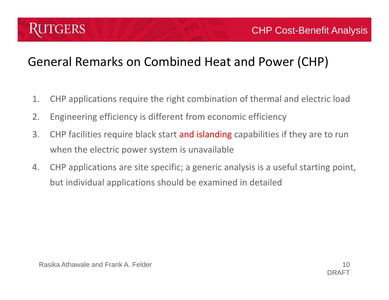

#### General Remarks on Combined Heat and Power (CHP)

- 1.CHP applications require the right combination of thermal and electric load
- 2.Engineering efficiency is different from economic efficiency
- 3.. CHP facilities require black start and islanding capabilities if they are to run when the electric power system is unavailable
- 4. CHP applications are site specific; <sup>a</sup> generic analysis is <sup>a</sup> useful starting point, but individual applications should be examined in detailed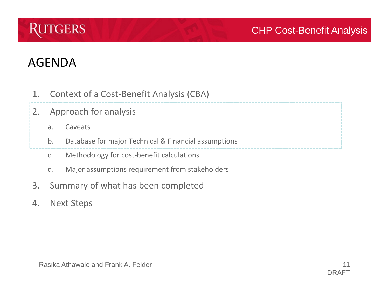

- 1.Context of <sup>a</sup> Cost‐Benefit Analysis (CBA)
- 2. Approach for analysis
	- a.**Caveats**
	- b.Database for major Technical & Financial assumptions
	- c.Methodology for cost‐benefit calculations
	- d.Major assumptions requirement from stakeholders
- 3.Summary of what has been completed
- 4.Next Steps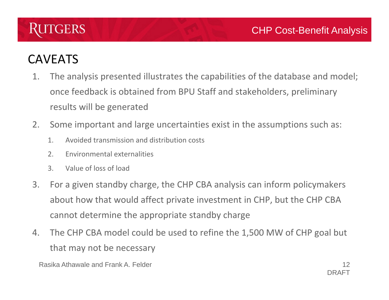# GERS

# CAVEATS

- 1. The analysis presented illustrates the capabilities of the database and model; once feedback is obtained from BPU Staff and stakeholders, preliminary results will be generated
- 2. Some important and large uncertainties exist in the assumptions such as:
	- 1.Avoided transmission and distribution costs
	- 2.Environmental externalities
	- 3.Value of loss of load
- 3. For a given standby charge, the CHP CBA analysis can inform policymakers about how that would affect private investment in CHP, but the CHP CBA cannot determine the appropriate standby charge
- 4. The CHP CBA model could be used to refine the 1,500 MW of CHP goal but that may not be necessary

Rasika Athawale and Frank A. Felder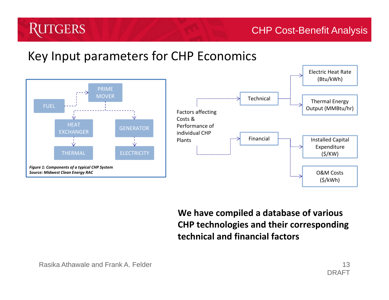### Key Input parameters for CHP Economics



**We have compiled <sup>a</sup> database of various CHP technologies and their corresponding technical and financial factors**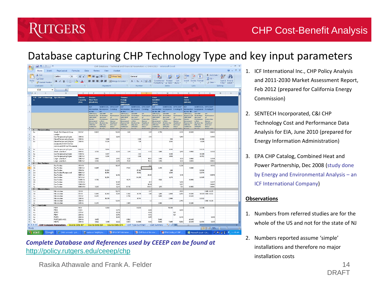# GERS

#### Database capturing CHP Technology Type and key input parameters

|                        | $\boxed{\mathbf{a}}$<br>CHP Database - Technical and Financial Parameters v.2 04042013 - Microsoft Excel<br><b>Pa</b> |                                     |                                                               |                                     |                                           |                                             |                                   |                                                        |                                                       |                            |                                                            | $\mathbf x$                                |                            |                                     |                                        |                             |                                |                          |             |
|------------------------|-----------------------------------------------------------------------------------------------------------------------|-------------------------------------|---------------------------------------------------------------|-------------------------------------|-------------------------------------------|---------------------------------------------|-----------------------------------|--------------------------------------------------------|-------------------------------------------------------|----------------------------|------------------------------------------------------------|--------------------------------------------|----------------------------|-------------------------------------|----------------------------------------|-----------------------------|--------------------------------|--------------------------|-------------|
|                        |                                                                                                                       | Home<br>Insert                      | Page Layout<br>Formulas                                       | Data                                | Review                                    | View                                        | Acrobat                           |                                                        |                                                       |                            |                                                            |                                            |                            |                                     |                                        |                             |                                |                          | D X         |
| <b>Collins</b>         |                                                                                                                       | of Cut<br><b>En Copy</b>            | $-11$<br>Calibri                                              | $\mathbf{A} \mathbf{A}$             | $\equiv \equiv \frac{3}{2}$               |                                             | Wrap Text                         |                                                        | General                                               |                            |                                                            |                                            |                            |                                     |                                        | Σ AutoSum -<br>→ Fill →     | Ą                              |                          |             |
| Paste                  |                                                                                                                       | Format Painter                      | $\cdot$ $\rightarrow$ $\cdot$ $\Delta$ $\cdot$<br>$B$ $I$ $U$ |                                     | 医唇泪                                       | 標標                                          | Merge & Center                    |                                                        | $S - \frac{9}{6}$ , $\frac{+0}{00}$ , $\frac{00}{10}$ |                            | Conditional                                                | Format                                     | Cell                       |                                     | Insert Delete Format                   |                             | Sort & Find &                  |                          |             |
|                        |                                                                                                                       | $\overline{12}$<br>Clipboard        | Font                                                          | $E_4$                               |                                           | Alignment                                   |                                   | $\overline{12}$                                        | Number                                                |                            |                                                            | Formatting * as Table * Styles *<br>Styles |                            |                                     | Cells                                  | 2 Clear *                   | Filter * Select *<br>Editing   |                          |             |
|                        |                                                                                                                       | <b>K18</b><br>$\checkmark$          | $f_x$                                                         |                                     |                                           |                                             |                                   |                                                        |                                                       |                            |                                                            |                                            |                            |                                     |                                        |                             |                                |                          | ¥           |
|                        | A B                                                                                                                   | e                                   | $\overline{D}$                                                | F                                   |                                           | $\overline{G}$                              | H                                 |                                                        | $\mathcal{A}$                                         |                            |                                                            | M                                          | N.                         | $\overline{0}$                      |                                        | $\circ$                     | $\overline{B}$                 | $\overline{\mathcal{R}}$ |             |
| $\overline{1}$         |                                                                                                                       |                                     |                                                               |                                     |                                           |                                             |                                   |                                                        |                                                       |                            |                                                            |                                            |                            |                                     |                                        |                             |                                |                          |             |
| $\hat{z}$              | S.N<br>$\bullet$ .                                                                                                    | <b>CHP Technology Specification</b> |                                                               | <b>Electric</b><br>Capacity<br>(KV) | Electric<br><b>Heat Rate</b><br>(BtulkVh) |                                             |                                   | <b>Thermal</b><br>Energy<br><b>Output</b><br>(MMBtu/hr |                                                       |                            | <b>Total</b><br><b>Installed</b><br>Costs<br>$[$ \$/KV $]$ |                                            |                            | <b>O&amp;M</b><br>Costs<br>[\$/kVh] |                                        |                             |                                |                          |             |
|                        |                                                                                                                       |                                     |                                                               |                                     | ICF                                       | SENTECH, EPA CHP                            |                                   | ICE                                                    | SENTECH, EPA CHP                                      |                            | <b>ICF</b>                                                 | SENTECH, EPA CHP                           |                            | <b>ICF</b>                          | SENTECH, EPA CHP                       |                             |                                |                          |             |
| $\ddot{\circ}$         |                                                                                                                       |                                     |                                                               |                                     | al. Inc.                                  | <b>Internation Incorporat Catalog</b><br>ed |                                   | al. Inc.                                               | Internation Incorporat Catalog                        |                            | al, Inc. @                                                 | Internation Incorporat Catalog #<br>ed     |                            | al, Inc. @                          | Internation Incorporat Catalog #<br>ed |                             |                                |                          |             |
|                        |                                                                                                                       |                                     |                                                               |                                     | <b>CHF Fulier</b><br>dautssis and         | <b>CEI CHI</b><br><b>Technology</b>         | $\overline{u}$ s<br><b>Fonder</b> | <b>CHF Falier</b><br>dealeric and                      | <b>CRICHI</b><br><b>Technology</b>                    | us<br><b>Ford</b>          | <b>CHP Pulier</b><br>dealers and                           | <b>CRICHF</b><br><b>Inchesters</b>         | U5<br><b>Form</b>          | <b>CHF Pulier</b><br>dealeric and   | <b>CEI CHI</b><br>Technology           | US.<br><b>Laviranaea</b>    |                                |                          |             |
|                        |                                                                                                                       |                                     |                                                               |                                     | 2033-2030                                 | <b>Cart and</b>                             |                                   | 2033-2030                                              | <b>Cart and</b>                                       |                            | 2011-2030                                                  | Cart and                                   |                            | 2011-2030                           |                                        |                             |                                |                          |             |
|                        |                                                                                                                       |                                     |                                                               |                                     | Harket<br>Aussimon                        | Performanc<br>$2$ Pata                      | <b>Fratection</b><br>Aeresy       | Herket<br><b>AUAURAN</b>                               | <b>Porforment</b><br>$2$ Pete                         | <b>Fratection</b><br>Acres | Herkes<br><b>LUAURA</b>                                    | Porturman<br>E                             | <b>Pratection</b><br>Acres | Horket<br>AUAURAN                   | Perfurmanc<br>$E_{B}$                  | Pratection<br>Aerocr        |                                |                          |             |
|                        |                                                                                                                       |                                     |                                                               |                                     | Bergel, Feb<br>2012//at                   | <b>Analysis for</b><br><b>Eld. June</b>     | Combines<br>Heat and              | Bezart, Feb<br>2012 //av                               | <b>Basherie for</b><br>$EB.$ June                     | Combined<br>Heat and       | Second, Feb<br>2012 (Inr                                   | <b>Analysis Inc</b><br>Eld. June           | Combined<br>Heet ead       | Boomet, Feb<br>2012 //av            | <b>Analysis Inc</b><br>Eld. June       | Cambiand<br><b>Heat and</b> |                                |                          |             |
| $\mathbf{A}$           |                                                                                                                       |                                     |                                                               |                                     | Colifornia                                | 2010 (lar                                   | Pauer                             | Califarnia                                             | 2010 Clar                                             | Passes                     | <i><b>California</b></i>                                   | 2010 (In)                                  | Passer                     | Califaraia                          | 2010 Uni                               | <b>Pauer</b>                |                                |                          |             |
| 5                      | $\blacksquare$                                                                                                        | Reciprocating                       |                                                               |                                     |                                           |                                             |                                   |                                                        |                                                       |                            |                                                            |                                            |                            |                                     |                                        |                             |                                |                          |             |
|                        | 1a                                                                                                                    |                                     | Small - Rich Burn with 3 wag                                  | 100 KW                              | 12,637                                    |                                             | 12,000                            | 0.67                                                   |                                                       | 0.6                        | 2,750                                                      |                                            | 2.21                       | 0.0220                              |                                        | 0.0220                      |                                |                          |             |
| 6<br>7                 | 1b                                                                                                                    |                                     | catalyst<br>Gas Reciprocating Engine                          | 300 KW                              |                                           |                                             | 9,866                             |                                                        |                                                       | 2.16                       |                                                            |                                            | 1,940                      |                                     |                                        | 0.0160                      |                                |                          |             |
| $\theta$               | 1.0                                                                                                                   |                                     | Diesel Reciprocating Engine                                   | 300 KW                              |                                           | 9,618                                       |                                   |                                                        | 0.00                                                  |                            |                                                            | 850                                        |                            |                                     | 0.0148                                 |                             |                                |                          |             |
|                        | 1d                                                                                                                    |                                     | Diesel Reciprocating Engine                                   | 300 KM                              |                                           | 10,124                                      |                                   |                                                        | 1.20                                                  |                            |                                                            | 1,804                                      |                            |                                     | 0.0211                                 |                             |                                |                          |             |
|                        |                                                                                                                       |                                     | (equipped with SCR for Nos                                    |                                     |                                           |                                             |                                   |                                                        |                                                       |                            |                                                            |                                            |                            |                                     |                                        |                             |                                |                          |             |
| $\overline{3}$         |                                                                                                                       |                                     | control and DPF for PM control)                               |                                     |                                           |                                             |                                   |                                                        |                                                       |                            |                                                            |                                            |                            |                                     |                                        |                             |                                |                          |             |
| 10 <sub>10</sub><br>11 | 1e<br>16                                                                                                              |                                     | Gas Fleciprocating Engine<br>Small - Lean Burn                | 334 KW<br>800 KW                    | 9,760                                     | 11,404                                      | 9,760                             | 3.44                                                   | 2.02                                                  | 4.30                       | 1,900                                                      | 1,000                                      | 1640                       | 0.0160                              | 0.0205                                 | 0.0128                      |                                |                          |             |
| 12                     | 1g                                                                                                                    |                                     | Gas Reciprocating Engine                                      | 1000 KW                             |                                           | 9,097                                       |                                   |                                                        | 3.92                                                  |                            |                                                            | 1,600                                      |                            |                                     | 0.0201                                 |                             |                                |                          |             |
| 13                     | 1h                                                                                                                    |                                     | Gas Reciprocating Engine                                      | 2000 KW                             |                                           | 9,394                                       |                                   |                                                        | 8.80                                                  |                            |                                                            | 1,400                                      |                            |                                     | 0.0152                                 |                             |                                |                          |             |
| 14                     | ti                                                                                                                    |                                     | Large - Lean Burn                                             | 3000 KW                             | 9,800                                     |                                             | 9,492                             | 12.60                                                  |                                                       | 10.53                      | 1,450                                                      |                                            | 1,130                      | 0.0160                              |                                        | 0.0104                      |                                |                          |             |
| 15<br>$16\,$           | 1i<br>$\overline{2}$                                                                                                  | <b>Gas Turbines</b>                 | Large - Lean Burn                                             | 5000 KW                             | 8,486                                     |                                             | 8,758                             | 15.37                                                  |                                                       | 15.23                      | 1,450                                                      |                                            | 1,130                      | 0.0140                              |                                        | 0.0093                      |                                |                          |             |
| 17                     | 2.a                                                                                                                   |                                     | Gas Turbine                                                   | 1150 KW                             |                                           |                                             | 16,047                            |                                                        |                                                       | 8.3                        |                                                            |                                            | 3,324                      |                                     |                                        | 0.0112                      |                                |                          |             |
| 18 <sup>°</sup>        | 2.b                                                                                                                   |                                     | Gas Turbine                                                   | 3000 KW                             | 14,085                                    |                                             |                                   | 17.841                                                 |                                                       |                            | 2,450                                                      |                                            |                            | 0.0100                              |                                        |                             |                                |                          |             |
| 19                     | 2.0                                                                                                                   |                                     | Gas Turbine                                                   | 3510 KW                             |                                           | 13,893                                      |                                   |                                                        | 25.102                                                |                            |                                                            | 1,911                                      |                            |                                     | 0.0098                                 |                             |                                |                          |             |
| 20<br>21               | 2.d<br>2e                                                                                                             |                                     | Gas Turbine Recuperated<br>Gas Turbine                        | 4600 KW<br>5457 KW                  |                                           | 10,054                                      | 12,312                            |                                                        | 14.012                                                | 28.26                      |                                                            | 1,369                                      | 1,314                      |                                     | 0.0078                                 | 0.0074                      |                                |                          |             |
| 22                     | 2.6                                                                                                                   |                                     | Gas Turbine                                                   | 5670 KW                             |                                           | 12.254                                      |                                   |                                                        | 34.298                                                |                            |                                                            | 1,279                                      |                            |                                     | 0.0065                                 |                             |                                |                          |             |
| 23                     | 2.g                                                                                                                   |                                     | Gas Turbine                                                   | 10000 KW                            | 11,765                                    |                                             |                                   | 46.74                                                  |                                                       |                            | 1,520                                                      |                                            |                            | 0.0088                              |                                        |                             |                                |                          |             |
| 24<br>25               | 2 <sub>h</sub><br>2i                                                                                                  |                                     | Gas Turbine<br>Gas Turbine                                    | 10239 KW<br>25000 KV                |                                           |                                             | 12,001<br>9,945                   |                                                        |                                                       | 49.1<br>90.34              |                                                            |                                            | 1,298<br>1097              |                                     |                                        | 0.0071<br>0.0049            |                                |                          |             |
| 26                     | 2i                                                                                                                    |                                     | Gas Turbine                                                   | 40000 KW                            | 9,220                                     |                                             | 9,220                             | 127.56                                                 |                                                       | 129.27                     | 1,170                                                      |                                            | 972                        | 0.0050                              |                                        | 0.0042                      |                                |                          |             |
| 27                     | $\overline{\mathbf{3}}$                                                                                               | Microturbines                       |                                                               |                                     |                                           |                                             |                                   |                                                        |                                                       |                            |                                                            |                                            |                            |                                     |                                        |                             |                                |                          |             |
| 28                     | 3.a                                                                                                                   |                                     | Microturbine                                                  | 30 KW                               |                                           |                                             | 15.075                            |                                                        |                                                       | 0.17                       |                                                            |                                            | 2970                       |                                     |                                        | $0.015 - 0.025$             |                                |                          |             |
| 29<br>30 <sub>2</sub>  | 3.b<br>3c                                                                                                             |                                     | Microturbine<br>Microturbine                                  | 65 KW<br>185 KW                     | 13,950<br>12.247                          | 12,943                                      | 13,891                            | 0.362<br>0.789                                         | 0.375                                                 | 0.41                       | 3,100<br>3,000                                             | 2,490                                      | 2,490                      | 0.0250<br>0.0220                    |                                        | $0.0129$ $0.013 - 0.022$    |                                |                          |             |
| 31                     | 3d                                                                                                                    |                                     | Mioroturbine                                                  | 200 KW                              |                                           | 10,670                                      |                                   |                                                        | 0.744                                                 |                            |                                                            | 2,440                                      |                            |                                     | 0.0092                                 |                             |                                |                          |             |
| 32                     | 3e                                                                                                                    |                                     | Microturbine                                                  | 250 KW                              |                                           |                                             | 13,080                            |                                                        |                                                       | 12                         |                                                            |                                            | 2,440                      |                                     |                                        | $0.012 - 0.020$             |                                |                          |             |
| 33                     | 36                                                                                                                    |                                     | Microturbine                                                  | 925 KW                              | 12.247                                    |                                             |                                   | 3.945                                                  |                                                       |                            | 2,900                                                      |                                            |                            | 0.0200                              |                                        |                             |                                |                          |             |
| 34<br>35               | $\ddot{\phantom{1}}$<br>4.a                                                                                           | <b>Fuel Cells</b>                   | PEM                                                           | 5KW                                 |                                           | 9,383                                       |                                   |                                                        | 0.0213                                                |                            |                                                            | 15,000                                     |                            |                                     | 0.0390                                 |                             |                                |                          |             |
| $36\,$                 | 4.b                                                                                                                   |                                     | PEM                                                           | 10 KW                               |                                           |                                             | 11,370                            |                                                        |                                                       | 0.04                       |                                                            |                                            | 9,100                      |                                     |                                        |                             |                                |                          |             |
| 37                     | 4c                                                                                                                    |                                     | SOFC                                                          | 125 KW                              |                                           |                                             | 8,024                             |                                                        |                                                       | 0.34                       |                                                            |                                            | NA.                        |                                     |                                        |                             |                                |                          |             |
| 38                     | 4.d                                                                                                                   |                                     | PEM                                                           | 200 KW                              |                                           |                                             | 9,750                             |                                                        |                                                       | 0.72                       |                                                            |                                            | NA                         |                                     |                                        |                             |                                |                          |             |
| 39<br>40               | 4.0<br>4.6                                                                                                            |                                     | PAFC<br>PAFC (200 / 400)                                      | 200 KW<br>200 KM                    | 9.975                                     |                                             | 9,480                             | 0.522                                                  |                                                       | 0.85                       | 5,000                                                      |                                            | 6,310                      | \$0.035                             |                                        | 0.038                       |                                |                          |             |
| 41                     | 4.g                                                                                                                   |                                     | MCFC                                                          | 300 KM                              | 8,022                                     | 8,100                                       | 8,022                             | 0.644                                                  | 0.4800                                                | 0.48                       | 5,600                                                      | 7,485                                      | 5,580                      | \$0.035                             | 0.0454                                 | 0.035                       |                                |                          |             |
| $H \leftarrow H$       |                                                                                                                       | <b>CHP Compare Parameters</b>       | Source Data ICF                                               |                                     | Source Data EIA                           |                                             | Source Data EPA                   |                                                        | CHP Type Summary                                      |                            | Cost Summary                                               | 9口.                                        |                            |                                     |                                        |                             |                                |                          |             |
| Ready                  |                                                                                                                       |                                     |                                                               |                                     |                                           |                                             |                                   |                                                        |                                                       |                            |                                                            |                                            |                            |                                     |                                        | ■□凹 70%                     | $(-)$                          | -0-                      | $\bigoplus$ |
|                        |                                                                                                                       |                                     |                                                               |                                     |                                           |                                             |                                   |                                                        |                                                       |                            |                                                            |                                            |                            |                                     |                                        |                             |                                |                          |             |
|                        | <b><i>i</i></b> start                                                                                                 | Google                              | $C$ (4661 unread) - gok                                       |                                     | Prasika on 'knight\sta                    |                                             | <b>BPU CHP Solicitation </b>      |                                                        |                                                       | CHP Back of the env        |                                                            | EPA Catalog of CHP                         |                            |                                     | Microsoft Excel - CH                   |                             | $2\n  4\n  2\n  6\n  3\n  6\n$ |                          | 11:05 AM    |

*Complete Database and References used by CEEEP can be found at* <http://policy.rutgers.edu/ceeep/chp>

Rasika Athawale and Frank A. Felder

- 1. ICF International Inc., CHP Policy Analysis and 2011‐2030 Market Assessment Report, Feb 2012 (prepared for California Energy Commission)
- 2. SENTECH Incorporated, C&I CHP Technology Cost and Performance Data Analysis for EIA, June 2010 (prepared for Energy Information Administration)
- 3. EPA CHP Catalog, Combined Heat and Power Partnership, Dec 2008 (study done by Energy and Environmental Analysis – an ICF International Company)

#### **Observations**

1. Numbers from referred studies are for the whole of the US and not for the state of NJ

14

DRAFT

2. Numbers reported assume 'simple' installations and therefore no major installation costs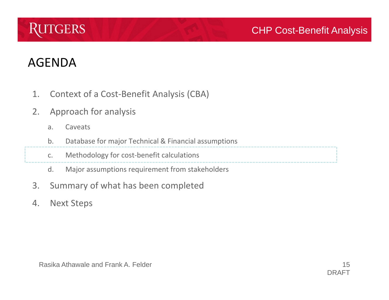

- 1.Context of <sup>a</sup> Cost‐Benefit Analysis (CBA)
- 2. Approach for analysis
	- a.**Caveats**
	- b.Database for major Technical & Financial assumptions
	- c.Methodology for cost‐benefit calculations
	- d.Major assumptions requirement from stakeholders
- 3.Summary of what has been completed
- 4.Next Steps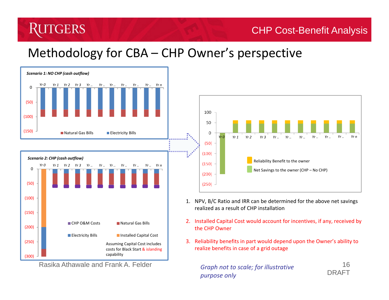# GERS

# Methodology for CBA – CHP Owner's perspective



Rasika Athawale and Frank A. Felder



- 1. NPV, B/C Ratio and IRR can be determined for the above net savings realized as <sup>a</sup> result of CHP installation
- 2. Installed Capital Cost would account for incentives, if any, received by the CHP Owner
- 3. Reliability benefits in part would depend upon the Owner's ability to realize benefits in case of <sup>a</sup> grid outage

*Graph not to scale; for illustrative purpose only*

16DRAFT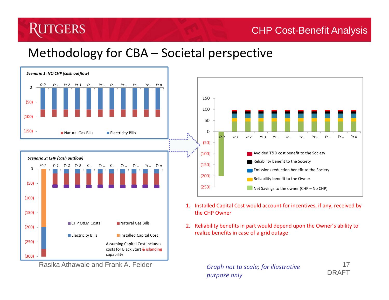# GERS

#### CHP Cost-Benefit Analysis

#### Methodology for CBA – Societal perspective





Rasika Athawale and Frank A. Felder



- 1. Installed Capital Cost would account for incentives, if any, received by the CHP Owner
- 2. Reliability benefits in part would depend upon the Owner's ability to realize benefits in case of <sup>a</sup> grid outage

*Graph not to scale; for illustrative purpose only*

17DRAFT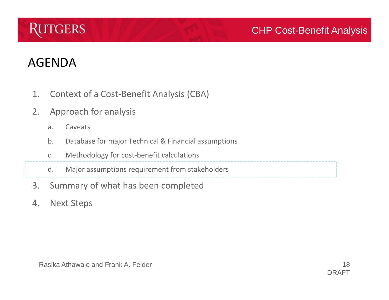

- 1.Context of <sup>a</sup> Cost‐Benefit Analysis (CBA)
- 2. Approach for analysis
	- a.**Caveats**
	- b.Database for major Technical & Financial assumptions
	- c.Methodology for cost‐benefit calculations
	- d.Major assumptions requirement from stakeholders
- 3.Summary of what has been completed
- 4.Next Steps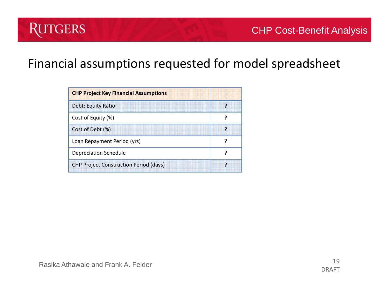#### Financial assumptions requested for model spreadsheet

| <b>CHP Project Key Financial Assumptions</b>  |  |
|-----------------------------------------------|--|
| <b>Debt: Equity Ratio</b>                     |  |
| Cost of Equity (%)                            |  |
| Cost of Debt (%)                              |  |
| Loan Repayment Period (yrs)                   |  |
| <b>Depreciation Schedule</b>                  |  |
| <b>CHP Project Construction Period (days)</b> |  |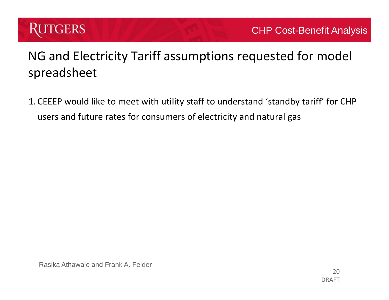

# NG and Electricity Tariff assumptions requested for model spreadsheet

1. CEEEP would like to meet with utility staff to understand 'standby tariff' for CHP users and future rates for consumers of electricity and natural gas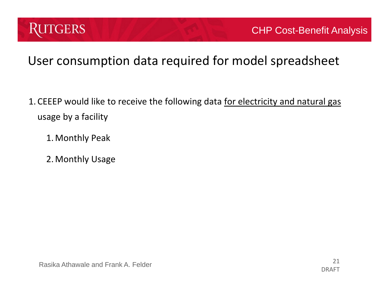

#### User consumption data required for model spreadsheet

- 1. CEEEP would like to receive the following data <u>for electricity and natural gas</u> usage by <sup>a</sup> facility
	- 1.Monthly Peak
	- 2.Monthly Usage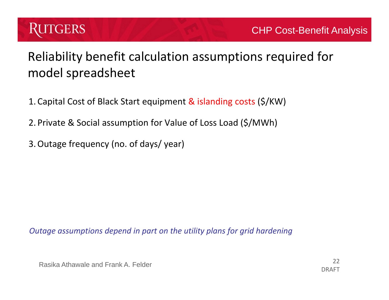# Reliability benefit calculation assumptions required for model spreadsheet

- 1. Capital Cost of Black Start equipment & islanding costs (\$/KW)
- 2. Private & Social assumption for Value of Loss Load (\$/MWh)
- 3.Outage frequency (no. of days/ year)

*Outage assumptions depend in part on the utility plans for grid hardening*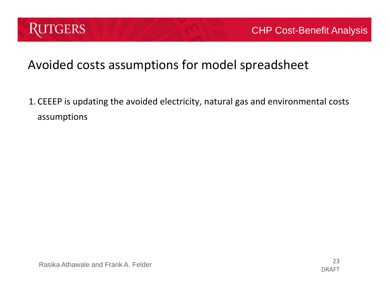

#### Avoided costs assumptions for model spreadsheet

1. CEEEP is updating the avoided electricity, natural gas and environmental costs assumptions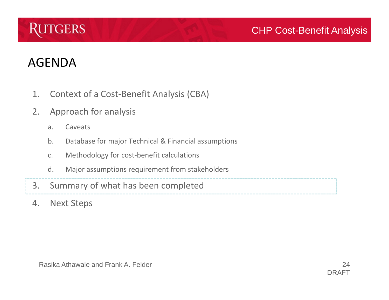

- 1.Context of <sup>a</sup> Cost‐Benefit Analysis (CBA)
- 2. Approach for analysis
	- a.**Caveats**
	- b.Database for major Technical & Financial assumptions
	- c.Methodology for cost‐benefit calculations
	- d.Major assumptions requirement from stakeholders
- 3.Summary of what has been completed
- 4.Next Steps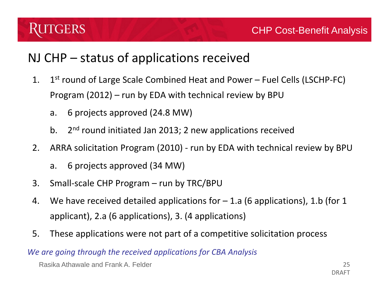#### NJ CHP – status of applications received

- 1.. 1st round of Large Scale Combined Heat and Power – Fuel Cells (LSCHP-FC) Program (2012) – run by EDA with technical review by BPU
	- a.6 projects approved (24.8 MW)
	- b. 2<sup>nd</sup> round initiated Jan 2013; 2 new applications received
- 2. ARRA solicitation Program (2010) ‐ run by EDA with technical review by BPU
	- a. 6 projects approved (34 MW)
- 3.Small‐scale CHP Program – run by TRC/BPU
- 4. We have received detailed applications for – 1.a (6 applications), 1.b (for 1 applicant), 2.a (6 applications), 3. (4 applications)
- 5.These applications were not part of <sup>a</sup> competitive solicitation process

*We are going through the received applications for CBA Analysis*

Rasika Athawale and Frank A. Felder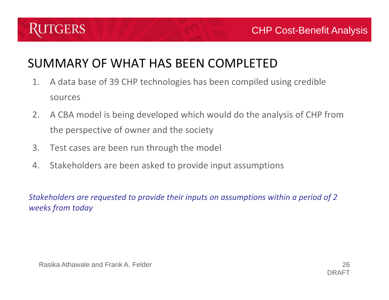

#### SUMMARY OF WHAT HAS BEEN COMPLETED

- 1. A data base of 39 CHP technologies has been compiled using credible sources
- 2. A CBA model is being developed which would do the analysis of CHP from the perspective of owner and the society
- 3.Test cases are been run through the model
- 4.Stakeholders are been asked to provide input assumptions

*Stakeholders are requested to provide their inputs on assumptions within <sup>a</sup> period of 2 weeks from today*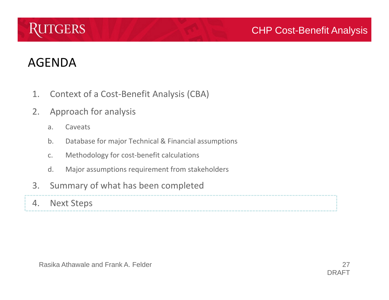

- 1.Context of <sup>a</sup> Cost‐Benefit Analysis (CBA)
- 2. Approach for analysis
	- a.**Caveats**
	- b.Database for major Technical & Financial assumptions
	- c.Methodology for cost‐benefit calculations
	- d.Major assumptions requirement from stakeholders
- 3.Summary of what has been completed
- 4.Next Steps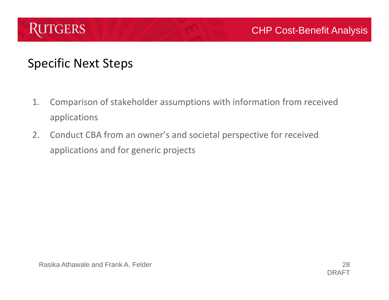

### Specific Next Steps

- 1. Comparison of stakeholder assumptions with information from received applications
- 2. Conduct CBA from an owner's and societal perspective for received applications and for generic projects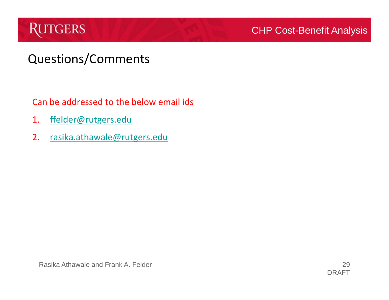#### Questions/Comments

Can be addressed to the below email ids

- 1.[ffelder@rutgers.edu](mailto:ffelder@rutgers.edu)
- 2.[rasika.athawale@rutgers.edu](mailto:rasika.athawale@rutgers.edu)